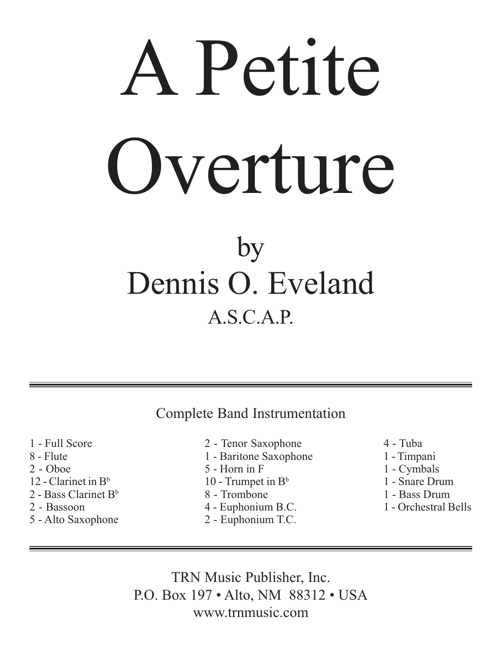## A Petite Overture by Dennis O. Eveland A.S.C.A.P.

Complete Band Instrumentation

- 1 Full Score 8 - Flute
- 2 Oboe
- 12 Clarinet in  $B^b$
- 2 Bass Clarinet  $B^b$
- 2 Bassoon
- 5 Alto Saxophone
- 2 Tenor Saxophone
- 1 Baritone Saxophone
- 5 Horn in F
- 10 Trumpet in  $B<sup>b</sup>$
- 8 Trombone
- 4 Euphonium B.C.
- 2 Euphonium T.C.
- 4 Tuba
- 1 Timpani
- 1 Cymbals
- 1 Snare Drum
- 1 Bass Drum
- 1 Orchestral Bells

TRN Music Publisher, Inc. P.O. Box 197 • Alto, NM 88312 • USA www.trnmusic.com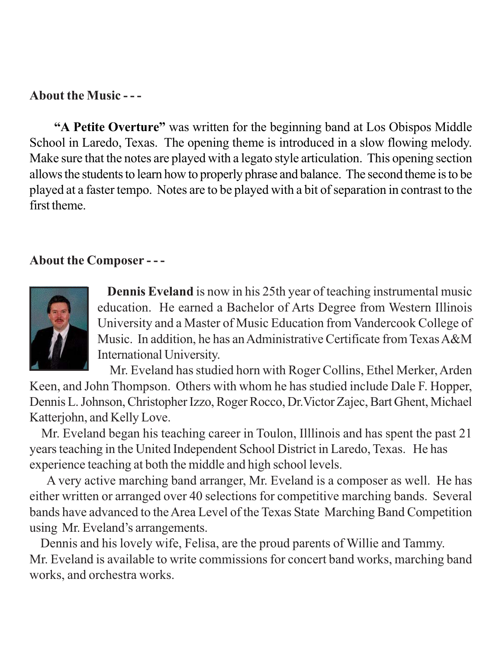## **About the Music - - -**

**"A Petite Overture"** was written for the beginning band at Los Obispos Middle School in Laredo, Texas. The opening theme is introduced in a slow flowing melody. Make sure that the notes are played with a legato style articulation. This opening section allows the students to learn how to properly phrase and balance. The second theme is to be played at a faster tempo. Notes are to be played with a bit of separation in contrast to the first theme.

## **About the Composer - - -**



**Dennis Eveland** is now in his 25th year of teaching instrumental music education. He earned a Bachelor of Arts Degree from Western Illinois University and a Master of Music Education from Vandercook College of Music. In addition, he has an Administrative Certificate from Texas A&M International University.

 Mr. Eveland has studied horn with Roger Collins, Ethel Merker, Arden Keen, and John Thompson. Others with whom he has studied include Dale F. Hopper, Dennis L. Johnson, Christopher Izzo, Roger Rocco, Dr.Victor Zajec, Bart Ghent, Michael Katterjohn, and Kelly Love.

 Mr. Eveland began his teaching career in Toulon, Illlinois and has spent the past 21 years teaching in the United Independent School District in Laredo, Texas. He has experience teaching at both the middle and high school levels.

 A very active marching band arranger, Mr. Eveland is a composer as well. He has either written or arranged over 40 selections for competitive marching bands. Several bands have advanced to the Area Level of the Texas State Marching Band Competition using Mr. Eveland's arrangements.

 Dennis and his lovely wife, Felisa, are the proud parents of Willie and Tammy. Mr. Eveland is available to write commissions for concert band works, marching band works, and orchestra works.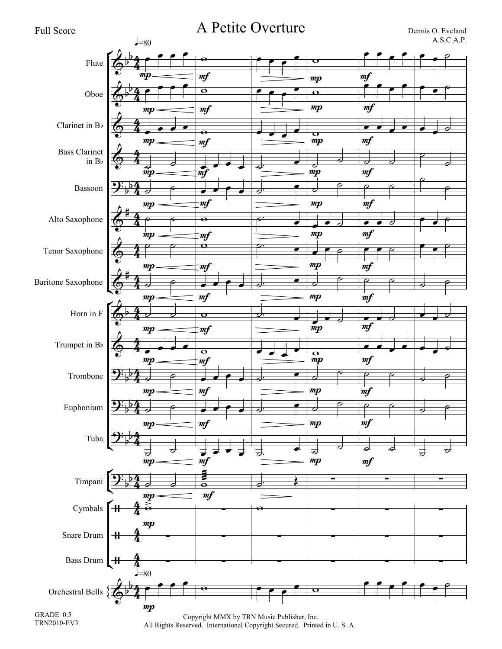

GRADE 0.5 TRN2010-EV3

Copyright MMX by TRN Music Publisher, Inc. All Rights Reserved. International Copyright Secured. Printed in U. S. A.